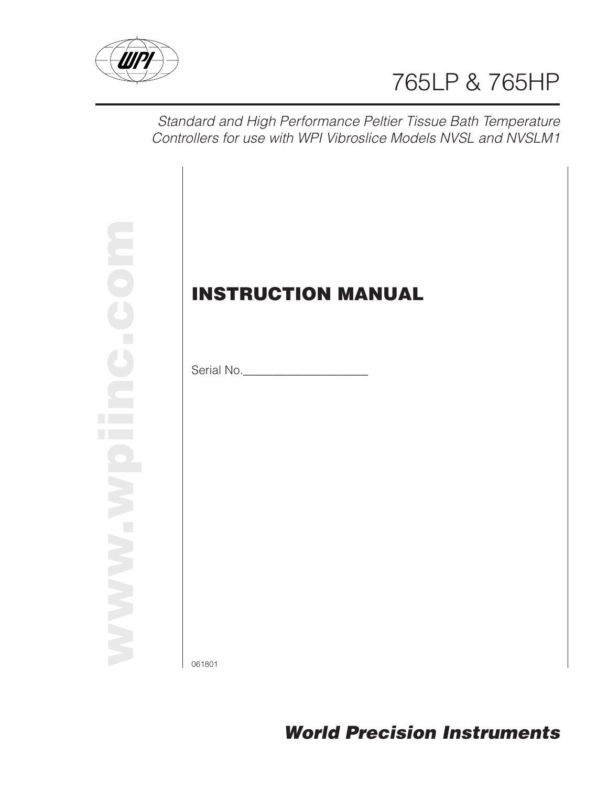

# 765LP & 765HP

Standard and High Performance Peltier Tissue Bath Temperature Controllers for use with WPI Vibroslice Models NVSL and NVSLM1

**www.wpiinc.com**

## **INSTRUCTION MANUAL**

Serial No.\_\_\_\_\_\_\_\_\_\_\_\_\_\_\_\_\_\_\_\_\_

061801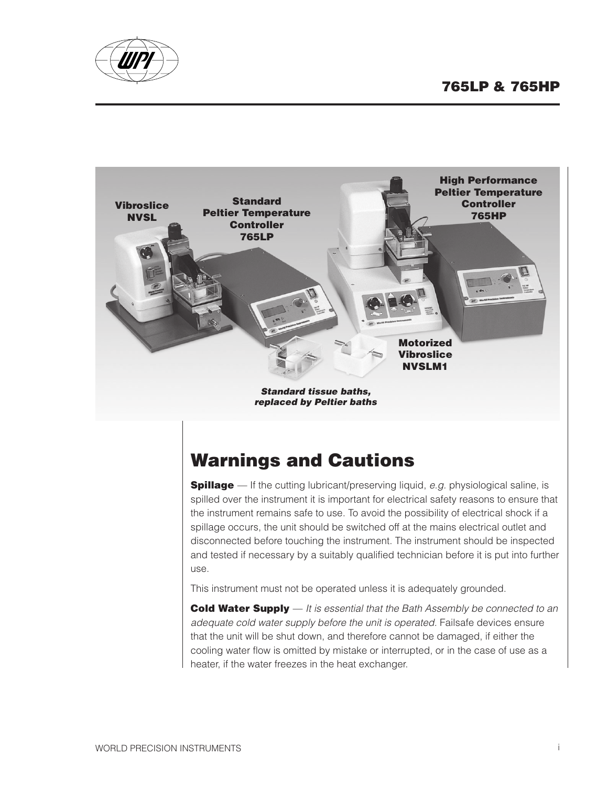



## **Warnings and Cautions**

**Spillage** — If the cutting lubricant/preserving liquid, e.g. physiological saline, is spilled over the instrument it is important for electrical safety reasons to ensure that the instrument remains safe to use. To avoid the possibility of electrical shock if a spillage occurs, the unit should be switched off at the mains electrical outlet and disconnected before touching the instrument. The instrument should be inspected and tested if necessary by a suitably qualified technician before it is put into further use.

This instrument must not be operated unless it is adequately grounded.

**Cold Water Supply** — It is essential that the Bath Assembly be connected to an adequate cold water supply before the unit is operated. Failsafe devices ensure that the unit will be shut down, and therefore cannot be damaged, if either the cooling water flow is omitted by mistake or interrupted, or in the case of use as a heater, if the water freezes in the heat exchanger.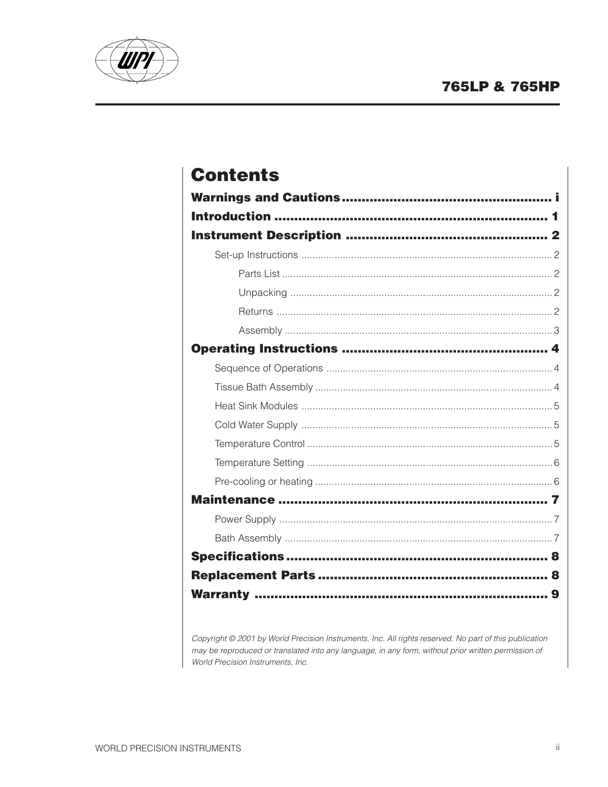

## **Contents**

|  | 8 |  |  |
|--|---|--|--|
|  | 9 |  |  |

Copyright @ 2001 by World Precision Instruments, Inc. All rights reserved. No part of this publication may be reproduced or translated into any language, in any form, without prior written permission of World Precision Instruments, Inc.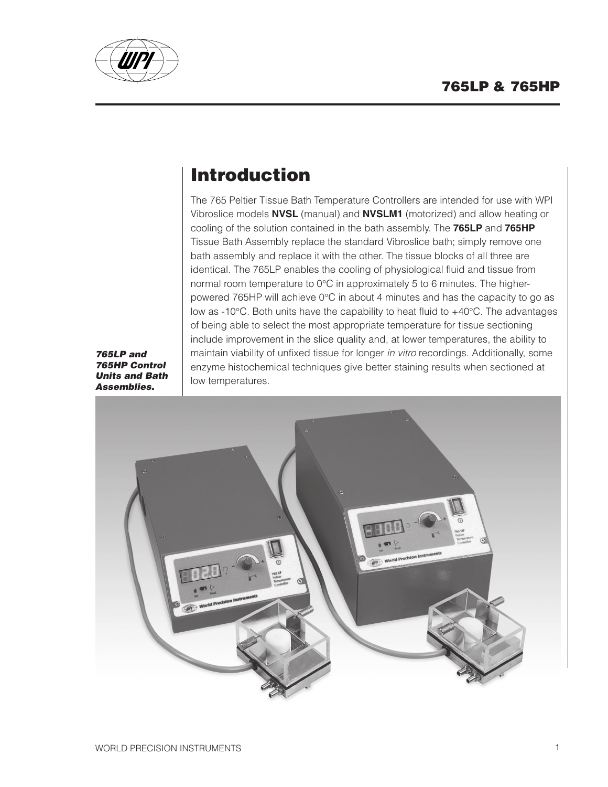

## **Introduction**

The 765 Peltier Tissue Bath Temperature Controllers are intended for use with WPI Vibroslice models **NVSL** (manual) and **NVSLM1** (motorized) and allow heating or cooling of the solution contained in the bath assembly. The **765LP** and **765HP** Tissue Bath Assembly replace the standard Vibroslice bath; simply remove one bath assembly and replace it with the other. The tissue blocks of all three are identical. The 765LP enables the cooling of physiological fluid and tissue from normal room temperature to 0°C in approximately 5 to 6 minutes. The higherpowered 765HP will achieve 0°C in about 4 minutes and has the capacity to go as low as -10°C. Both units have the capability to heat fluid to +40°C. The advantages of being able to select the most appropriate temperature for tissue sectioning include improvement in the slice quality and, at lower temperatures, the ability to maintain viability of unfixed tissue for longer in vitro recordings. Additionally, some enzyme histochemical techniques give better staining results when sectioned at low temperatures.

**765LP and 765HP Control Units and Bath Assemblies.**

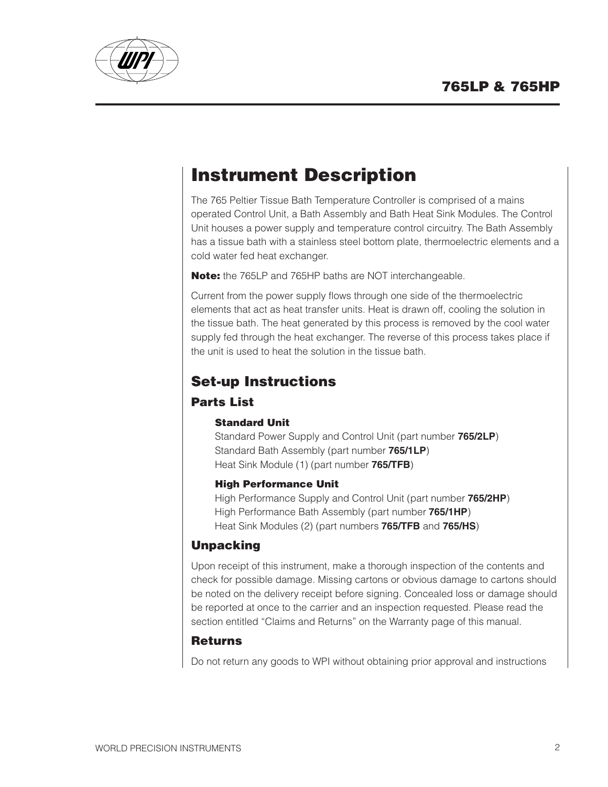

## **Instrument Description**

The 765 Peltier Tissue Bath Temperature Controller is comprised of a mains operated Control Unit, a Bath Assembly and Bath Heat Sink Modules. The Control Unit houses a power supply and temperature control circuitry. The Bath Assembly has a tissue bath with a stainless steel bottom plate, thermoelectric elements and a cold water fed heat exchanger.

**Note:** the 765LP and 765HP baths are NOT interchangeable.

Current from the power supply flows through one side of the thermoelectric elements that act as heat transfer units. Heat is drawn off, cooling the solution in the tissue bath. The heat generated by this process is removed by the cool water supply fed through the heat exchanger. The reverse of this process takes place if the unit is used to heat the solution in the tissue bath.

### **Set-up Instructions**

#### **Parts List**

#### **Standard Unit**

Standard Power Supply and Control Unit (part number **765/2LP**) Standard Bath Assembly (part number **765/1LP**) Heat Sink Module (1) (part number **765/TFB**)

#### **High Performance Unit**

High Performance Supply and Control Unit (part number **765/2HP**) High Performance Bath Assembly (part number **765/1HP**) Heat Sink Modules (2) (part numbers **765/TFB** and **765/HS**)

#### **Unpacking**

Upon receipt of this instrument, make a thorough inspection of the contents and check for possible damage. Missing cartons or obvious damage to cartons should be noted on the delivery receipt before signing. Concealed loss or damage should be reported at once to the carrier and an inspection requested. Please read the section entitled "Claims and Returns" on the Warranty page of this manual.

#### **Returns**

Do not return any goods to WPI without obtaining prior approval and instructions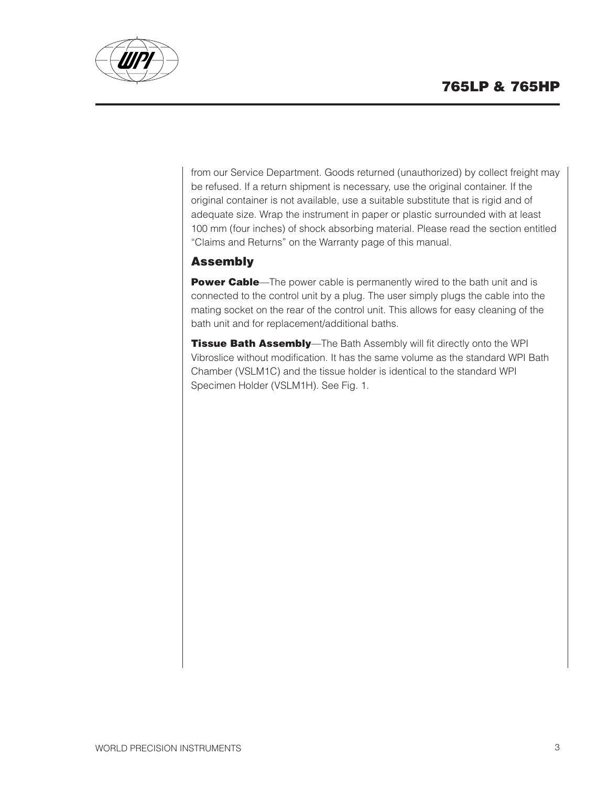

from our Service Department. Goods returned (unauthorized) by collect freight may be refused. If a return shipment is necessary, use the original container. If the original container is not available, use a suitable substitute that is rigid and of adequate size. Wrap the instrument in paper or plastic surrounded with at least 100 mm (four inches) of shock absorbing material. Please read the section entitled "Claims and Returns" on the Warranty page of this manual.

#### **Assembly**

**Power Cable**—The power cable is permanently wired to the bath unit and is connected to the control unit by a plug. The user simply plugs the cable into the mating socket on the rear of the control unit. This allows for easy cleaning of the bath unit and for replacement/additional baths.

**Tissue Bath Assembly**—The Bath Assembly will fit directly onto the WPI Vibroslice without modification. It has the same volume as the standard WPI Bath Chamber (VSLM1C) and the tissue holder is identical to the standard WPI Specimen Holder (VSLM1H). See Fig. 1.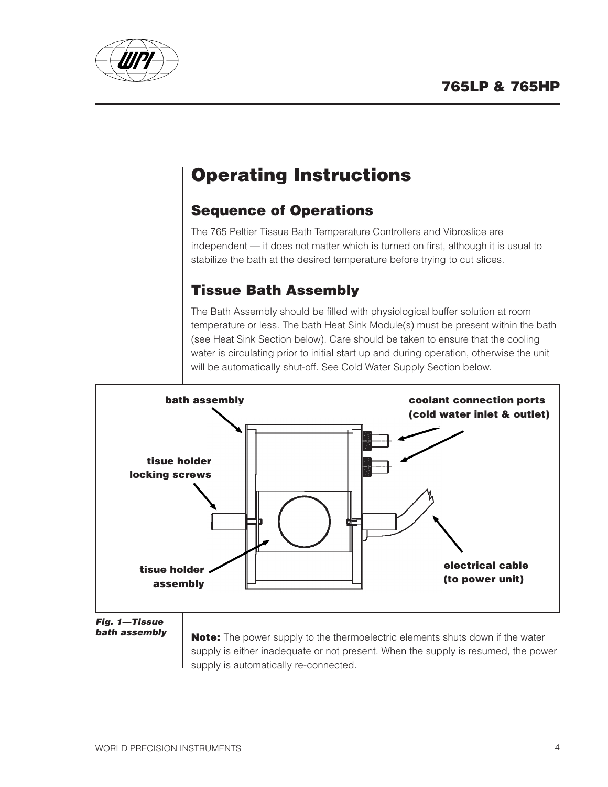

## **Operating Instructions**

### **Sequence of Operations**

The 765 Peltier Tissue Bath Temperature Controllers and Vibroslice are independent — it does not matter which is turned on first, although it is usual to stabilize the bath at the desired temperature before trying to cut slices.

### **Tissue Bath Assembly**

The Bath Assembly should be filled with physiological buffer solution at room temperature or less. The bath Heat Sink Module(s) must be present within the bath (see Heat Sink Section below). Care should be taken to ensure that the cooling water is circulating prior to initial start up and during operation, otherwise the unit will be automatically shut-off. See Cold Water Supply Section below.



**Fig. 1—Tissue bath assembly**

**Note:** The power supply to the thermoelectric elements shuts down if the water supply is either inadequate or not present. When the supply is resumed, the power supply is automatically re-connected.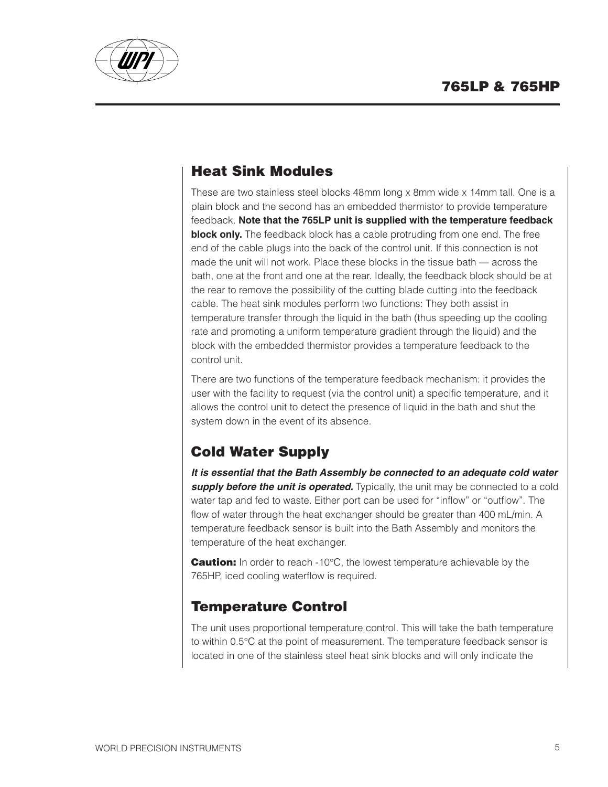

### **Heat Sink Modules**

These are two stainless steel blocks 48mm long x 8mm wide x 14mm tall. One is a plain block and the second has an embedded thermistor to provide temperature feedback. **Note that the 765LP unit is supplied with the temperature feedback block only.** The feedback block has a cable protruding from one end. The free end of the cable plugs into the back of the control unit. If this connection is not made the unit will not work. Place these blocks in the tissue bath — across the bath, one at the front and one at the rear. Ideally, the feedback block should be at the rear to remove the possibility of the cutting blade cutting into the feedback cable. The heat sink modules perform two functions: They both assist in temperature transfer through the liquid in the bath (thus speeding up the cooling rate and promoting a uniform temperature gradient through the liquid) and the block with the embedded thermistor provides a temperature feedback to the control unit.

There are two functions of the temperature feedback mechanism: it provides the user with the facility to request (via the control unit) a specific temperature, and it allows the control unit to detect the presence of liquid in the bath and shut the system down in the event of its absence.

### **Cold Water Supply**

**It is essential that the Bath Assembly be connected to an adequate cold water supply before the unit is operated.** Typically, the unit may be connected to a cold water tap and fed to waste. Either port can be used for "inflow" or "outflow". The flow of water through the heat exchanger should be greater than 400 mL/min. A temperature feedback sensor is built into the Bath Assembly and monitors the temperature of the heat exchanger.

**Caution:** In order to reach -10°C, the lowest temperature achievable by the 765HP, iced cooling waterflow is required.

### **Temperature Control**

The unit uses proportional temperature control. This will take the bath temperature to within 0.5°C at the point of measurement. The temperature feedback sensor is located in one of the stainless steel heat sink blocks and will only indicate the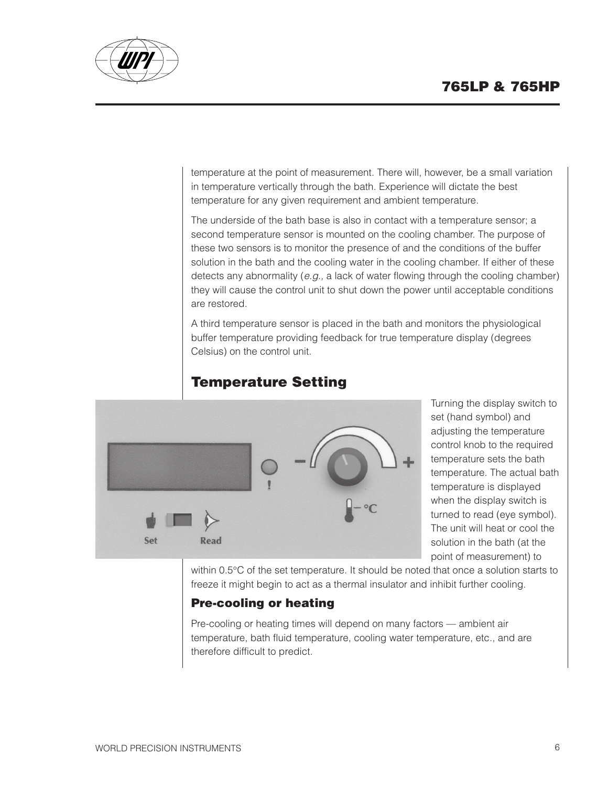

temperature at the point of measurement. There will, however, be a small variation in temperature vertically through the bath. Experience will dictate the best temperature for any given requirement and ambient temperature.

The underside of the bath base is also in contact with a temperature sensor; a second temperature sensor is mounted on the cooling chamber. The purpose of these two sensors is to monitor the presence of and the conditions of the buffer solution in the bath and the cooling water in the cooling chamber. If either of these detects any abnormality (e.g., a lack of water flowing through the cooling chamber) they will cause the control unit to shut down the power until acceptable conditions are restored.

A third temperature sensor is placed in the bath and monitors the physiological buffer temperature providing feedback for true temperature display (degrees Celsius) on the control unit.

### **Temperature Setting**



Turning the display switch to set (hand symbol) and adjusting the temperature control knob to the required temperature sets the bath temperature. The actual bath temperature is displayed when the display switch is turned to read (eye symbol). The unit will heat or cool the solution in the bath (at the point of measurement) to

within 0.5°C of the set temperature. It should be noted that once a solution starts to freeze it might begin to act as a thermal insulator and inhibit further cooling.

#### **Pre-cooling or heating**

Pre-cooling or heating times will depend on many factors — ambient air temperature, bath fluid temperature, cooling water temperature, etc., and are therefore difficult to predict.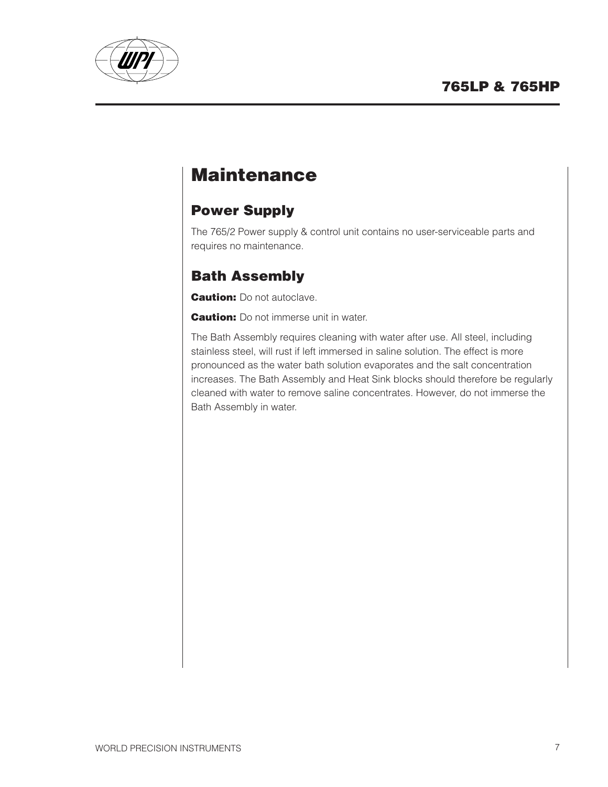

## **Maintenance**

### **Power Supply**

The 765/2 Power supply & control unit contains no user-serviceable parts and requires no maintenance.

### **Bath Assembly**

**Caution:** Do not autoclave.

**Caution:** Do not immerse unit in water.

The Bath Assembly requires cleaning with water after use. All steel, including stainless steel, will rust if left immersed in saline solution. The effect is more pronounced as the water bath solution evaporates and the salt concentration increases. The Bath Assembly and Heat Sink blocks should therefore be regularly cleaned with water to remove saline concentrates. However, do not immerse the Bath Assembly in water.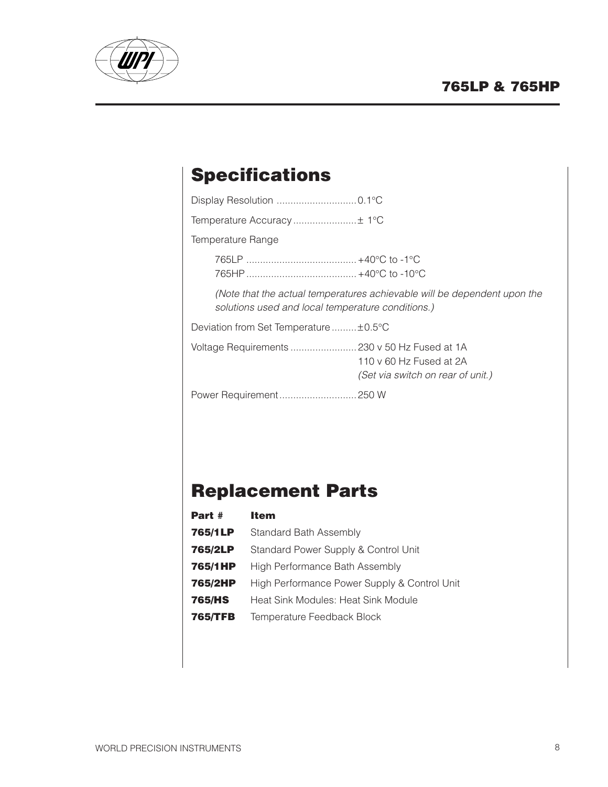

## **Specifications**

| Temperature Range                                                                                                             |
|-------------------------------------------------------------------------------------------------------------------------------|
|                                                                                                                               |
| (Note that the actual temperatures achievable will be dependent upon the<br>solutions used and local temperature conditions.) |
| Deviation from Set Temperature ±0.5°C                                                                                         |
| Voltage Requirements  230 v 50 Hz Fused at 1A<br>110 v 60 Hz Fused at 2A<br>(Set via switch on rear of unit.)                 |
|                                                                                                                               |
|                                                                                                                               |

## **Replacement Parts**

| Part #         | <b>Item</b>                                  |
|----------------|----------------------------------------------|
| 765/1LP        | Standard Bath Assembly                       |
| 765/2LP        | Standard Power Supply & Control Unit         |
| 765/1HP        | High Performance Bath Assembly               |
| 765/2HP        | High Performance Power Supply & Control Unit |
| <b>765/HS</b>  | Heat Sink Modules: Heat Sink Module          |
| <b>765/TFB</b> | Temperature Feedback Block                   |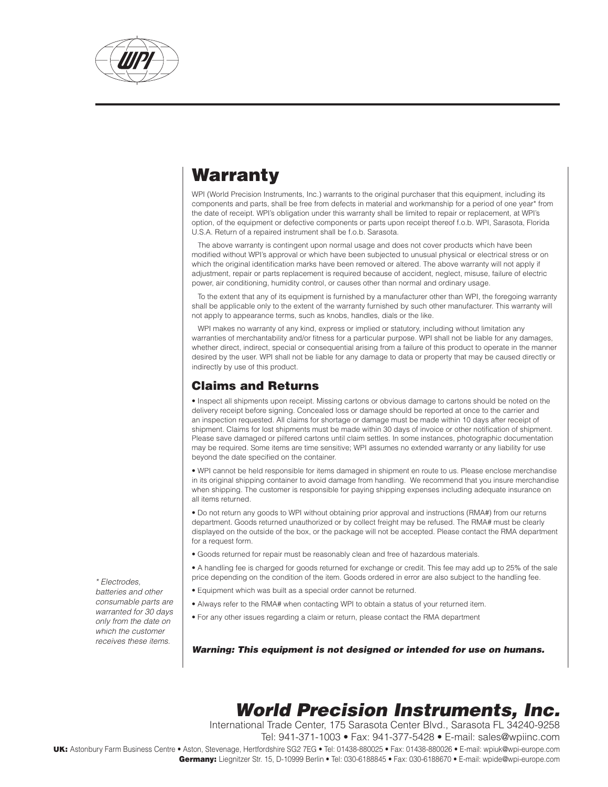

## Warranty

WPI (World Precision Instruments, Inc.) warrants to the original purchaser that this equipment, including its components and parts, shall be free from defects in material and workmanship for a period of one year\* from the date of receipt. WPI's obligation under this warranty shall be limited to repair or replacement, at WPI's option, of the equipment or defective components or parts upon receipt thereof f.o.b. WPI, Sarasota, Florida U.S.A. Return of a repaired instrument shall be f.o.b. Sarasota.

The above warranty is contingent upon normal usage and does not cover products which have been modified without WPI's approval or which have been subjected to unusual physical or electrical stress or on which the original identification marks have been removed or altered. The above warranty will not apply if adjustment, repair or parts replacement is required because of accident, neglect, misuse, failure of electric power, air conditioning, humidity control, or causes other than normal and ordinary usage.

To the extent that any of its equipment is furnished by a manufacturer other than WPI, the foregoing warranty shall be applicable only to the extent of the warranty furnished by such other manufacturer. This warranty will not apply to appearance terms, such as knobs, handles, dials or the like.

WPI makes no warranty of any kind, express or implied or statutory, including without limitation any warranties of merchantability and/or fitness for a particular purpose. WPI shall not be liable for any damages, whether direct, indirect, special or consequential arising from a failure of this product to operate in the manner desired by the user. WPI shall not be liable for any damage to data or property that may be caused directly or indirectly by use of this product.

#### Claims and Returns

• Inspect all shipments upon receipt. Missing cartons or obvious damage to cartons should be noted on the delivery receipt before signing. Concealed loss or damage should be reported at once to the carrier and an inspection requested. All claims for shortage or damage must be made within 10 days after receipt of shipment. Claims for lost shipments must be made within 30 days of invoice or other notification of shipment. Please save damaged or pilfered cartons until claim settles. In some instances, photographic documentation may be required. Some items are time sensitive; WPI assumes no extended warranty or any liability for use beyond the date specified on the container.

• WPI cannot be held responsible for items damaged in shipment en route to us. Please enclose merchandise in its original shipping container to avoid damage from handling. We recommend that you insure merchandise when shipping. The customer is responsible for paying shipping expenses including adequate insurance on all items returned.

• Do not return any goods to WPI without obtaining prior approval and instructions (RMA#) from our returns department. Goods returned unauthorized or by collect freight may be refused. The RMA# must be clearly displayed on the outside of the box, or the package will not be accepted. Please contact the RMA department for a request form.

• Goods returned for repair must be reasonably clean and free of hazardous materials.

• A handling fee is charged for goods returned for exchange or credit. This fee may add up to 25% of the sale price depending on the condition of the item. Goods ordered in error are also subject to the handling fee.

- Equipment which was built as a special order cannot be returned.
- Always refer to the RMA# when contacting WPI to obtain a status of your returned item.
- For any other issues regarding a claim or return, please contact the RMA department

Warning: This equipment is not designed or intended for use on humans.

## World Precision Instruments, Inc.

International Trade Center, 175 Sarasota Center Blvd., Sarasota FL 34240-9258

Tel: 941-371-1003 • Fax: 941-377-5428 • E-mail: sales@wpiinc.com

UK: Astonbury Farm Business Centre • Aston, Stevenage, Hertfordshire SG2 7EG • Tel: 01438-880025 • Fax: 01438-880026 • E-mail: wpiuk@wpi-europe.com Germany: Liegnitzer Str. 15, D-10999 Berlin • Tel: 030-6188845 • Fax: 030-6188670 • E-mail: wpide@wpi-europe.com

\* Electrodes, batteries and other consumable parts are warranted for 30 days only from the date on which the customer receives these items.